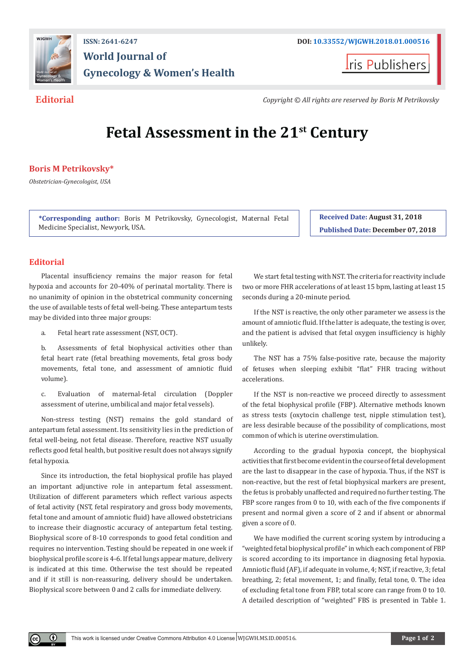

## **ISSN: 2641-6247 DOI: [10.33552/WJGWH.2018.01.000516](http://dx.doi.org/10.33552/WJGWH.2018.01.000516) World Journal of Gynecology & Women's Health**

**I**ris Publishers

**Editorial** *Copyright © All rights are reserved by Boris M Petrikovsky*

# **Fetal Assessment in the 21st Century**

### **Boris M Petrikovsky\***

*Obstetrician-Gynecologist, USA*

**\*Corresponding author:** Boris M Petrikovsky, Gynecologist, Maternal Fetal Medicine Specialist, Newyork, USA.

**Received Date: August 31, 2018 Published Date: December 07, 2018**

#### **Editorial**

 $^\circledR$ 

Placental insufficiency remains the major reason for fetal hypoxia and accounts for 20-40% of perinatal mortality. There is no unanimity of opinion in the obstetrical community concerning the use of available tests of fetal well-being. These antepartum tests may be divided into three major groups:

- a. Fetal heart rate assessment (NST, OCT).
- b. Assessments of fetal biophysical activities other than fetal heart rate (fetal breathing movements, fetal gross body movements, fetal tone, and assessment of amniotic fluid volume).
- c. Evaluation of maternal-fetal circulation (Doppler assessment of uterine, umbilical and major fetal vessels).

Non-stress testing (NST) remains the gold standard of antepartum fetal assessment. Its sensitivity lies in the prediction of fetal well-being, not fetal disease. Therefore, reactive NST usually reflects good fetal health, but positive result does not always signify fetal hypoxia.

Since its introduction, the fetal biophysical profile has played an important adjunctive role in antepartum fetal assessment. Utilization of different parameters which reflect various aspects of fetal activity (NST, fetal respiratory and gross body movements, fetal tone and amount of amniotic fluid) have allowed obstetricians to increase their diagnostic accuracy of antepartum fetal testing. Biophysical score of 8-10 corresponds to good fetal condition and requires no intervention. Testing should be repeated in one week if biophysical profile score is 4-6. If fetal lungs appear mature, delivery is indicated at this time. Otherwise the test should be repeated and if it still is non-reassuring, delivery should be undertaken. Biophysical score between 0 and 2 calls for immediate delivery.

We start fetal testing with NST. The criteria for reactivity include two or more FHR accelerations of at least 15 bpm, lasting at least 15 seconds during a 20-minute period.

If the NST is reactive, the only other parameter we assess is the amount of amniotic fluid. If the latter is adequate, the testing is over, and the patient is advised that fetal oxygen insufficiency is highly unlikely.

The NST has a 75% false-positive rate, because the majority of fetuses when sleeping exhibit "flat" FHR tracing without accelerations.

If the NST is non-reactive we proceed directly to assessment of the fetal biophysical profile (FBP). Alternative methods known as stress tests (oxytocin challenge test, nipple stimulation test), are less desirable because of the possibility of complications, most common of which is uterine overstimulation.

According to the gradual hypoxia concept, the biophysical activities that first become evident in the course of fetal development are the last to disappear in the case of hypoxia. Thus, if the NST is non-reactive, but the rest of fetal biophysical markers are present, the fetus is probably unaffected and required no further testing. The FBP score ranges from 0 to 10, with each of the five components if present and normal given a score of 2 and if absent or abnormal given a score of 0.

We have modified the current scoring system by introducing a "weighted fetal biophysical profile" in which each component of FBP is scored according to its importance in diagnosing fetal hypoxia. Amniotic fluid (AF), if adequate in volume, 4; NST, if reactive, 3; fetal breathing, 2; fetal movement, 1; and finally, fetal tone, 0. The idea of excluding fetal tone from FBP, total score can range from 0 to 10. A detailed description of "weighted" FBS is presented in Table 1.